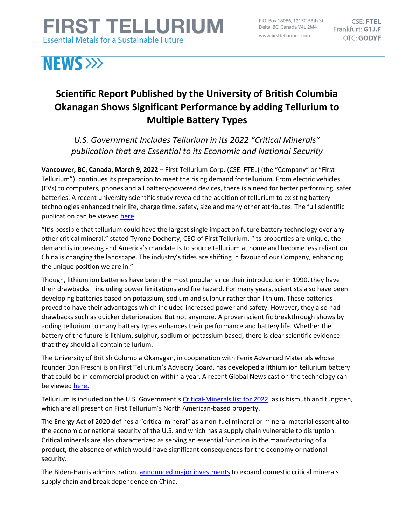## **FIRST TELLURIUM Essential Metals for a Sustainable Future**

P.O. Box 18086, 1215C 56th St. Delta, BC Canada V4L 2M4 www.firsttellurium.com

 $CSE$ **FTEL** Frankfurt: G1J.F **OTC: GODYF** 

# **NEWS >>>**

### **Scientific Report Published by the University of British Columbia Okanagan Shows Significant Performance by adding Tellurium to Multiple Battery Types**

*U.S. Government Includes Tellurium in its 2022 "Critical Minerals" publication that are Essential to its Economic and National Security*

**Vancouver, BC, Canada, March 9, 2022** – First Tellurium Corp. (CSE: FTEL) (the "Company" or "First Tellurium"), continues its preparation to meet the rising demand for tellurium. From electric vehicles (EVs) to computers, phones and all battery-powered devices, there is a need for better performing, safer batteries. A recent university scientific study revealed the addition of tellurium to existing battery technologies enhanced their life, charge time, safety, size and many other attributes. The full scientific publication can be viewe[d here.](https://firsttellurium.com/assets/docs/High-Performance-Potassium-Tellurium-Batteries-Stabilized-by-Interface-Engineering.pdf)

"It's possible that tellurium could have the largest single impact on future battery technology over any other critical mineral," stated Tyrone Docherty, CEO of First Tellurium. "Its properties are unique, the demand is increasing and America's mandate is to source tellurium at home and become less reliant on China is changing the landscape. The industry's tides are shifting in favour of our Company, enhancing the unique position we are in."

Though, lithium ion batteries have been the most popular since their introduction in 1990, they have their drawbacks—including power limitations and fire hazard. For many years, scientists also have been developing batteries based on potassium, sodium and sulphur rather than lithium. These batteries proved to have their advantages which included increased power and safety. However, they also had drawbacks such as quicker deterioration. But not anymore. A proven scientific breakthrough shows by adding tellurium to many battery types enhances their performance and battery life. Whether the battery of the future is lithium, sulphur, sodium or potassium based, there is clear scientific evidence that they should all contain tellurium.

The University of British Columbia Okanagan, in cooperation with Fenix Advanced Materials whose founder Don Freschi is on First Tellurium's Advisory Board, has developed a lithium ion tellurium battery that could be in commercial production within a year. A recent Global News cast on the technology can be viewed [here.](https://globalnews.ca/video/8541451/researchers-at-ubco-working-on-next-generation-battery/)

Tellurium is included on the U.S. Government's [Critical-Minerals list for 2022,](https://www.usgs.gov/news/national-news-release/us-geological-survey-releases-2022-list-critical-minerals) as is bismuth and tungsten, which are all present on First Tellurium's North American-based property.

The Energy Act of 2020 defines a "critical mineral" as a non-fuel mineral or mineral material essential to the economic or national security of the U.S. and which has a supply chain vulnerable to disruption. Critical minerals are also characterized as serving an essential function in the manufacturing of a product, the absence of which would have significant consequences for the economy or national security.

The Biden-Harris administration[. announced major investments](https://www.whitehouse.gov/briefing-room/statements-releases/2022/02/22/fact-sheet-securing-a-made-in-america-supply-chain-for-critical-minerals/) to expand domestic critical minerals supply chain and break dependence on China.